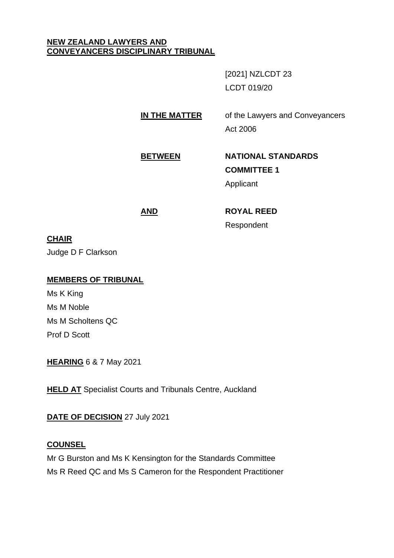#### **NEW ZEALAND LAWYERS AND CONVEYANCERS DISCIPLINARY TRIBUNAL**

[2021] NZLCDT 23 LCDT 019/20

**IN THE MATTER** of the Lawyers and Conveyancers

Act 2006

# **BETWEEN NATIONAL STANDARDS COMMITTEE 1**

Applicant

# **AND ROYAL REED**

Respondent

# **CHAIR**

Judge D F Clarkson

# **MEMBERS OF TRIBUNAL**

Ms K King Ms M Noble Ms M Scholtens QC Prof D Scott

**HEARING** 6 & 7 May 2021

**HELD AT** Specialist Courts and Tribunals Centre, Auckland

# **DATE OF DECISION** 27 July 2021

# **COUNSEL**

Mr G Burston and Ms K Kensington for the Standards Committee Ms R Reed QC and Ms S Cameron for the Respondent Practitioner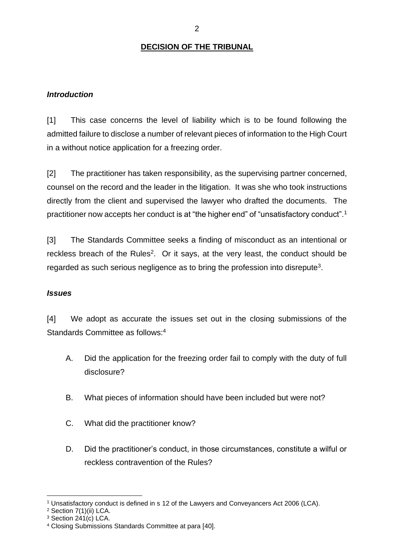# **DECISION OF THE TRIBUNAL**

#### *Introduction*

[1] This case concerns the level of liability which is to be found following the admitted failure to disclose a number of relevant pieces of information to the High Court in a without notice application for a freezing order.

[2] The practitioner has taken responsibility, as the supervising partner concerned, counsel on the record and the leader in the litigation. It was she who took instructions directly from the client and supervised the lawyer who drafted the documents. The practitioner now accepts her conduct is at "the higher end" of "unsatisfactory conduct".<sup>1</sup>

[3] The Standards Committee seeks a finding of misconduct as an intentional or reckless breach of the Rules<sup>2</sup>. Or it says, at the very least, the conduct should be regarded as such serious negligence as to bring the profession into disrepute<sup>3</sup>.

#### *Issues*

[4] We adopt as accurate the issues set out in the closing submissions of the Standards Committee as follows:<sup>4</sup>

- A. Did the application for the freezing order fail to comply with the duty of full disclosure?
- B. What pieces of information should have been included but were not?
- C. What did the practitioner know?
- D. Did the practitioner's conduct, in those circumstances, constitute a wilful or reckless contravention of the Rules?

<sup>1</sup> Unsatisfactory conduct is defined in s 12 of the Lawyers and Conveyancers Act 2006 (LCA).

<sup>2</sup> Section 7(1)(ii) LCA.

<sup>3</sup> Section 241(c) LCA.

<sup>4</sup> Closing Submissions Standards Committee at para [40].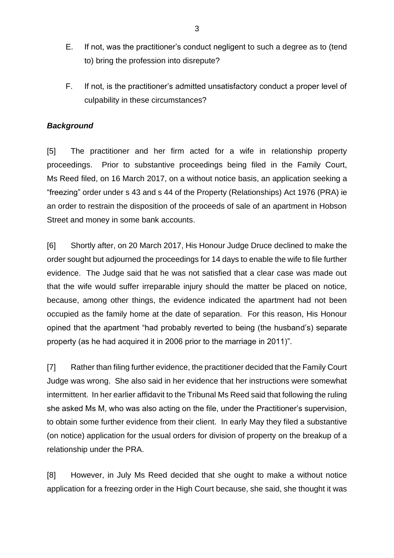- E. If not, was the practitioner's conduct negligent to such a degree as to (tend to) bring the profession into disrepute?
- F. If not, is the practitioner's admitted unsatisfactory conduct a proper level of culpability in these circumstances?

#### *Background*

[5] The practitioner and her firm acted for a wife in relationship property proceedings. Prior to substantive proceedings being filed in the Family Court, Ms Reed filed, on 16 March 2017, on a without notice basis, an application seeking a "freezing" order under s 43 and s 44 of the Property (Relationships) Act 1976 (PRA) ie an order to restrain the disposition of the proceeds of sale of an apartment in Hobson Street and money in some bank accounts.

[6] Shortly after, on 20 March 2017, His Honour Judge Druce declined to make the order sought but adjourned the proceedings for 14 days to enable the wife to file further evidence. The Judge said that he was not satisfied that a clear case was made out that the wife would suffer irreparable injury should the matter be placed on notice, because, among other things, the evidence indicated the apartment had not been occupied as the family home at the date of separation. For this reason, His Honour opined that the apartment "had probably reverted to being (the husband's) separate property (as he had acquired it in 2006 prior to the marriage in 2011)".

[7] Rather than filing further evidence, the practitioner decided that the Family Court Judge was wrong. She also said in her evidence that her instructions were somewhat intermittent. In her earlier affidavit to the Tribunal Ms Reed said that following the ruling she asked Ms M, who was also acting on the file, under the Practitioner's supervision, to obtain some further evidence from their client. In early May they filed a substantive (on notice) application for the usual orders for division of property on the breakup of a relationship under the PRA.

[8] However, in July Ms Reed decided that she ought to make a without notice application for a freezing order in the High Court because, she said, she thought it was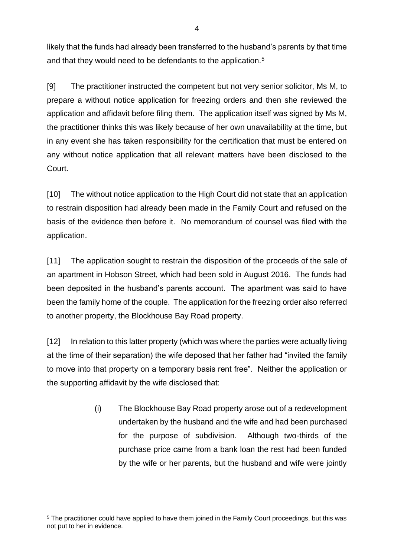likely that the funds had already been transferred to the husband's parents by that time and that they would need to be defendants to the application.<sup>5</sup>

[9] The practitioner instructed the competent but not very senior solicitor, Ms M, to prepare a without notice application for freezing orders and then she reviewed the application and affidavit before filing them. The application itself was signed by Ms M, the practitioner thinks this was likely because of her own unavailability at the time, but in any event she has taken responsibility for the certification that must be entered on any without notice application that all relevant matters have been disclosed to the Court.

[10] The without notice application to the High Court did not state that an application to restrain disposition had already been made in the Family Court and refused on the basis of the evidence then before it. No memorandum of counsel was filed with the application.

[11] The application sought to restrain the disposition of the proceeds of the sale of an apartment in Hobson Street, which had been sold in August 2016. The funds had been deposited in the husband's parents account. The apartment was said to have been the family home of the couple. The application for the freezing order also referred to another property, the Blockhouse Bay Road property.

[12] In relation to this latter property (which was where the parties were actually living at the time of their separation) the wife deposed that her father had "invited the family to move into that property on a temporary basis rent free". Neither the application or the supporting affidavit by the wife disclosed that:

> (i) The Blockhouse Bay Road property arose out of a redevelopment undertaken by the husband and the wife and had been purchased for the purpose of subdivision. Although two-thirds of the purchase price came from a bank loan the rest had been funded by the wife or her parents, but the husband and wife were jointly

<sup>5</sup> The practitioner could have applied to have them joined in the Family Court proceedings, but this was not put to her in evidence.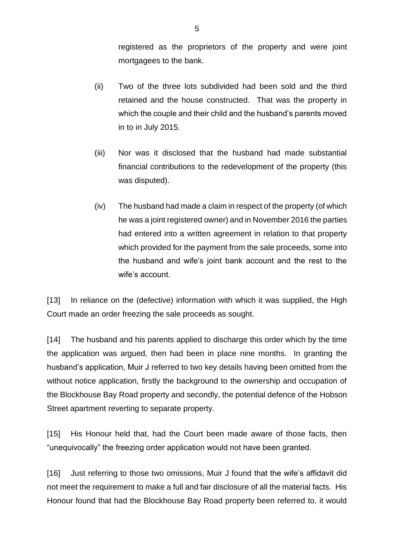registered as the proprietors of the property and were joint mortgagees to the bank.

- (ii) Two of the three lots subdivided had been sold and the third retained and the house constructed. That was the property in which the couple and their child and the husband's parents moved in to in July 2015.
- (iii) Nor was it disclosed that the husband had made substantial financial contributions to the redevelopment of the property (this was disputed).
- (iv) The husband had made a claim in respect of the property (of which he was a joint registered owner) and in November 2016 the parties had entered into a written agreement in relation to that property which provided for the payment from the sale proceeds, some into the husband and wife's joint bank account and the rest to the wife's account.

[13] In reliance on the (defective) information with which it was supplied, the High Court made an order freezing the sale proceeds as sought.

[14] The husband and his parents applied to discharge this order which by the time the application was argued, then had been in place nine months. In granting the husband's application, Muir J referred to two key details having been omitted from the without notice application, firstly the background to the ownership and occupation of the Blockhouse Bay Road property and secondly, the potential defence of the Hobson Street apartment reverting to separate property.

[15] His Honour held that, had the Court been made aware of those facts, then "unequivocally" the freezing order application would not have been granted.

[16] Just referring to those two omissions, Muir J found that the wife's affidavit did not meet the requirement to make a full and fair disclosure of all the material facts. His Honour found that had the Blockhouse Bay Road property been referred to, it would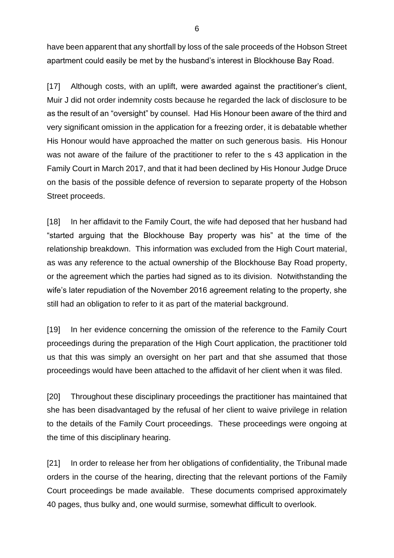have been apparent that any shortfall by loss of the sale proceeds of the Hobson Street apartment could easily be met by the husband's interest in Blockhouse Bay Road.

[17] Although costs, with an uplift, were awarded against the practitioner's client, Muir J did not order indemnity costs because he regarded the lack of disclosure to be as the result of an "oversight" by counsel. Had His Honour been aware of the third and very significant omission in the application for a freezing order, it is debatable whether His Honour would have approached the matter on such generous basis. His Honour was not aware of the failure of the practitioner to refer to the s 43 application in the Family Court in March 2017, and that it had been declined by His Honour Judge Druce on the basis of the possible defence of reversion to separate property of the Hobson Street proceeds.

[18] In her affidavit to the Family Court, the wife had deposed that her husband had "started arguing that the Blockhouse Bay property was his" at the time of the relationship breakdown. This information was excluded from the High Court material, as was any reference to the actual ownership of the Blockhouse Bay Road property, or the agreement which the parties had signed as to its division. Notwithstanding the wife's later repudiation of the November 2016 agreement relating to the property, she still had an obligation to refer to it as part of the material background.

[19] In her evidence concerning the omission of the reference to the Family Court proceedings during the preparation of the High Court application, the practitioner told us that this was simply an oversight on her part and that she assumed that those proceedings would have been attached to the affidavit of her client when it was filed.

[20] Throughout these disciplinary proceedings the practitioner has maintained that she has been disadvantaged by the refusal of her client to waive privilege in relation to the details of the Family Court proceedings. These proceedings were ongoing at the time of this disciplinary hearing.

[21] In order to release her from her obligations of confidentiality, the Tribunal made orders in the course of the hearing, directing that the relevant portions of the Family Court proceedings be made available. These documents comprised approximately 40 pages, thus bulky and, one would surmise, somewhat difficult to overlook.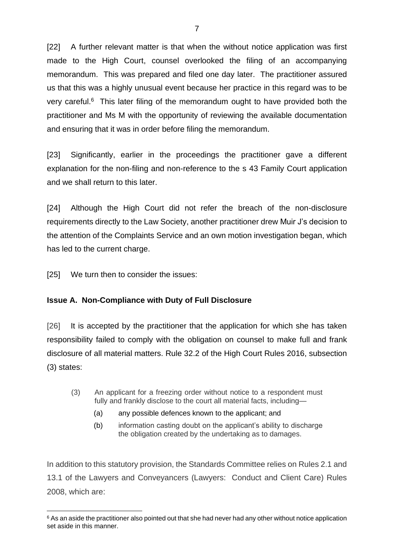[22] A further relevant matter is that when the without notice application was first made to the High Court, counsel overlooked the filing of an accompanying memorandum. This was prepared and filed one day later. The practitioner assured us that this was a highly unusual event because her practice in this regard was to be very careful.<sup>6</sup> This later filing of the memorandum ought to have provided both the practitioner and Ms M with the opportunity of reviewing the available documentation and ensuring that it was in order before filing the memorandum.

[23] Significantly, earlier in the proceedings the practitioner gave a different explanation for the non-filing and non-reference to the s 43 Family Court application and we shall return to this later.

[24] Although the High Court did not refer the breach of the non-disclosure requirements directly to the Law Society, another practitioner drew Muir J's decision to the attention of the Complaints Service and an own motion investigation began, which has led to the current charge.

[25] We turn then to consider the issues:

# **Issue A. Non-Compliance with Duty of Full Disclosure**

[26] It is accepted by the practitioner that the application for which she has taken responsibility failed to comply with the obligation on counsel to make full and frank disclosure of all material matters. Rule 32.2 of the High Court Rules 2016, subsection (3) states:

- (3) An applicant for a freezing order without notice to a respondent must fully and frankly disclose to the court all material facts, including—
	- (a) any possible defences known to the applicant; and
	- (b) information casting doubt on the applicant's ability to discharge the obligation created by the undertaking as to damages.

In addition to this statutory provision, the Standards Committee relies on Rules 2.1 and 13.1 of the Lawyers and Conveyancers (Lawyers: Conduct and Client Care) Rules 2008, which are:

<sup>&</sup>lt;sup>6</sup> As an aside the practitioner also pointed out that she had never had any other without notice application set aside in this manner.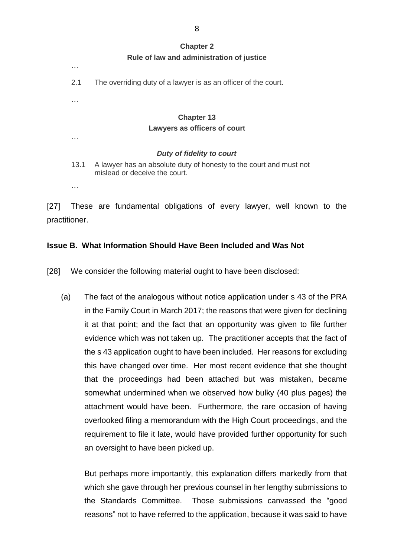#### **Chapter 2 Rule of law and administration of justice**

2.1 The overriding duty of a lawyer is as an officer of the court.

# **Chapter 13 Lawyers as officers of court**

#### *Duty of fidelity to court*

- 13.1 A lawyer has an absolute duty of honesty to the court and must not mislead or deceive the court.
- …

…

…

…

[27] These are fundamental obligations of every lawyer, well known to the practitioner.

# **Issue B. What Information Should Have Been Included and Was Not**

[28] We consider the following material ought to have been disclosed:

(a) The fact of the analogous without notice application under s 43 of the PRA in the Family Court in March 2017; the reasons that were given for declining it at that point; and the fact that an opportunity was given to file further evidence which was not taken up. The practitioner accepts that the fact of the s 43 application ought to have been included. Her reasons for excluding this have changed over time. Her most recent evidence that she thought that the proceedings had been attached but was mistaken, became somewhat undermined when we observed how bulky (40 plus pages) the attachment would have been. Furthermore, the rare occasion of having overlooked filing a memorandum with the High Court proceedings, and the requirement to file it late, would have provided further opportunity for such an oversight to have been picked up.

But perhaps more importantly, this explanation differs markedly from that which she gave through her previous counsel in her lengthy submissions to the Standards Committee. Those submissions canvassed the "good reasons" not to have referred to the application, because it was said to have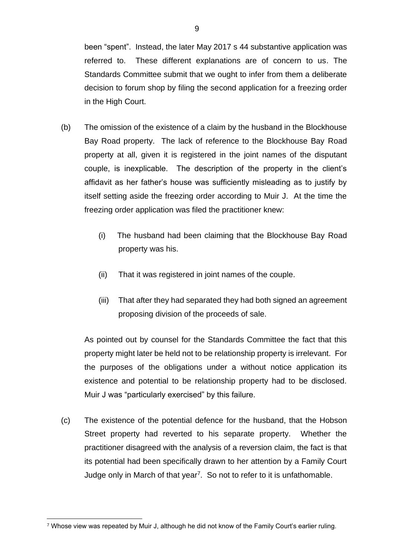been "spent". Instead, the later May 2017 s 44 substantive application was referred to. These different explanations are of concern to us. The Standards Committee submit that we ought to infer from them a deliberate decision to forum shop by filing the second application for a freezing order in the High Court.

- (b) The omission of the existence of a claim by the husband in the Blockhouse Bay Road property. The lack of reference to the Blockhouse Bay Road property at all, given it is registered in the joint names of the disputant couple, is inexplicable. The description of the property in the client's affidavit as her father's house was sufficiently misleading as to justify by itself setting aside the freezing order according to Muir J. At the time the freezing order application was filed the practitioner knew:
	- (i) The husband had been claiming that the Blockhouse Bay Road property was his.
	- (ii) That it was registered in joint names of the couple.
	- (iii) That after they had separated they had both signed an agreement proposing division of the proceeds of sale.

As pointed out by counsel for the Standards Committee the fact that this property might later be held not to be relationship property is irrelevant. For the purposes of the obligations under a without notice application its existence and potential to be relationship property had to be disclosed. Muir J was "particularly exercised" by this failure.

(c) The existence of the potential defence for the husband, that the Hobson Street property had reverted to his separate property. Whether the practitioner disagreed with the analysis of a reversion claim, the fact is that its potential had been specifically drawn to her attention by a Family Court Judge only in March of that year<sup>7</sup>. So not to refer to it is unfathomable.

<sup>7</sup> Whose view was repeated by Muir J, although he did not know of the Family Court's earlier ruling.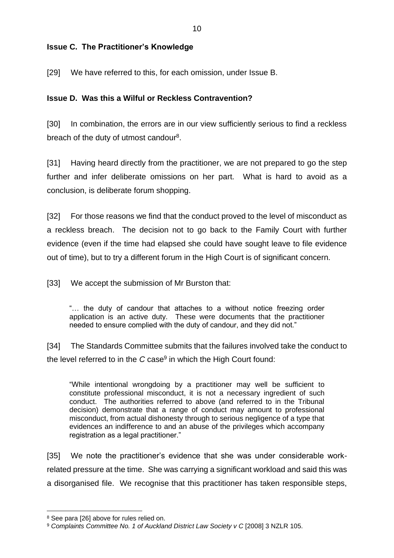# **Issue C. The Practitioner's Knowledge**

[29] We have referred to this, for each omission, under Issue B.

# **Issue D. Was this a Wilful or Reckless Contravention?**

[30] In combination, the errors are in our view sufficiently serious to find a reckless breach of the duty of utmost candour $^8$ .

[31] Having heard directly from the practitioner, we are not prepared to go the step further and infer deliberate omissions on her part. What is hard to avoid as a conclusion, is deliberate forum shopping.

[32] For those reasons we find that the conduct proved to the level of misconduct as a reckless breach. The decision not to go back to the Family Court with further evidence (even if the time had elapsed she could have sought leave to file evidence out of time), but to try a different forum in the High Court is of significant concern.

[33] We accept the submission of Mr Burston that:

"… the duty of candour that attaches to a without notice freezing order application is an active duty. These were documents that the practitioner needed to ensure complied with the duty of candour, and they did not."

[34] The Standards Committee submits that the failures involved take the conduct to the level referred to in the *C* case<sup>9</sup> in which the High Court found:

"While intentional wrongdoing by a practitioner may well be sufficient to constitute professional misconduct, it is not a necessary ingredient of such conduct. The authorities referred to above (and referred to in the Tribunal decision) demonstrate that a range of conduct may amount to professional misconduct, from actual dishonesty through to serious negligence of a type that evidences an indifference to and an abuse of the privileges which accompany registration as a legal practitioner."

[35] We note the practitioner's evidence that she was under considerable workrelated pressure at the time. She was carrying a significant workload and said this was a disorganised file. We recognise that this practitioner has taken responsible steps,

<sup>8</sup> See para [26] above for rules relied on.

<sup>9</sup> *Complaints Committee No. 1 of Auckland District Law Society v C* [2008] 3 NZLR 105.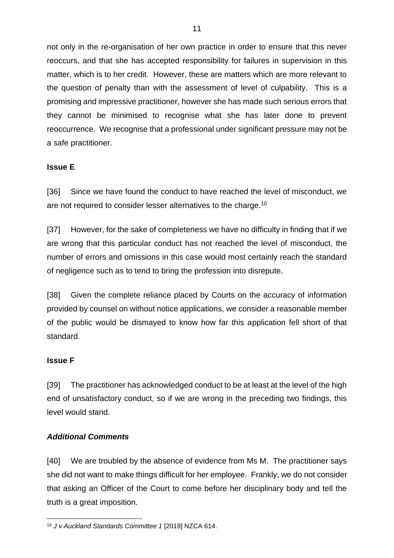not only in the re-organisation of her own practice in order to ensure that this never reoccurs, and that she has accepted responsibility for failures in supervision in this matter, which is to her credit. However, these are matters which are more relevant to the question of penalty than with the assessment of level of culpability. This is a promising and impressive practitioner, however she has made such serious errors that they cannot be minimised to recognise what she has later done to prevent reoccurrence. We recognise that a professional under significant pressure may not be a safe practitioner.

# **Issue E**

[36] Since we have found the conduct to have reached the level of misconduct, we are not required to consider lesser alternatives to the charge.<sup>10</sup>

[37] However, for the sake of completeness we have no difficulty in finding that if we are wrong that this particular conduct has not reached the level of misconduct, the number of errors and omissions in this case would most certainly reach the standard of negligence such as to tend to bring the profession into disrepute.

[38] Given the complete reliance placed by Courts on the accuracy of information provided by counsel on without notice applications, we consider a reasonable member of the public would be dismayed to know how far this application fell short of that standard.

#### **Issue F**

[39] The practitioner has acknowledged conduct to be at least at the level of the high end of unsatisfactory conduct, so if we are wrong in the preceding two findings, this level would stand.

#### *Additional Comments*

[40] We are troubled by the absence of evidence from Ms M. The practitioner says she did not want to make things difficult for her employee. Frankly, we do not consider that asking an Officer of the Court to come before her disciplinary body and tell the truth is a great imposition.

<sup>10</sup> *J v Auckland Standards Committee 1* [2019] NZCA 614.